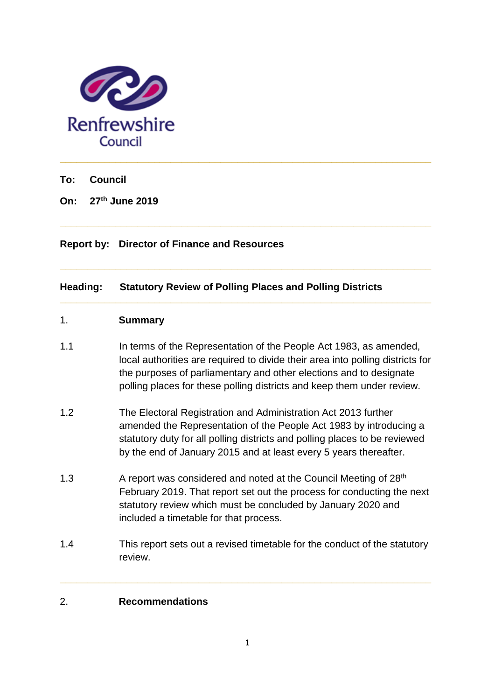

**To: Council**

**On: 27 th June 2019**

# **Report by: Director of Finance and Resources**

# **Heading: Statutory Review of Polling Places and Polling Districts**

## 1. **Summary**

1.1 In terms of the Representation of the People Act 1983, as amended, local authorities are required to divide their area into polling districts for the purposes of parliamentary and other elections and to designate polling places for these polling districts and keep them under review.

**\_\_\_\_\_\_\_\_\_\_\_\_\_\_\_\_\_\_\_\_\_\_\_\_\_\_\_\_\_\_\_\_\_\_\_\_\_\_\_\_\_\_\_\_\_\_\_\_\_\_\_\_\_\_\_\_\_\_\_\_\_\_\_\_\_\_\_**

**\_\_\_\_\_\_\_\_\_\_\_\_\_\_\_\_\_\_\_\_\_\_\_\_\_\_\_\_\_\_\_\_\_\_\_\_\_\_\_\_\_\_\_\_\_\_\_\_\_\_\_\_\_\_\_\_\_\_\_\_\_\_\_\_\_\_\_**

**\_\_\_\_\_\_\_\_\_\_\_\_\_\_\_\_\_\_\_\_\_\_\_\_\_\_\_\_\_\_\_\_\_\_\_\_\_\_\_\_\_\_\_\_\_\_\_\_\_\_\_\_\_\_\_\_\_\_\_\_\_\_\_\_\_\_\_**

- 1.2 The Electoral Registration and Administration Act 2013 further amended the Representation of the People Act 1983 by introducing a statutory duty for all polling districts and polling places to be reviewed by the end of January 2015 and at least every 5 years thereafter.
- 1.3  $\blacksquare$  A report was considered and noted at the Council Meeting of 28<sup>th</sup> February 2019. That report set out the process for conducting the next statutory review which must be concluded by January 2020 and included a timetable for that process.
- 1.4 This report sets out a revised timetable for the conduct of the statutory review.

**\_\_\_\_\_\_\_\_\_\_\_\_\_\_\_\_\_\_\_\_\_\_\_\_\_\_\_\_\_\_\_\_\_\_\_\_\_\_\_\_\_\_\_\_\_\_\_\_\_\_\_\_\_\_\_\_\_\_\_\_\_\_\_\_\_\_\_**

## 2. **Recommendations**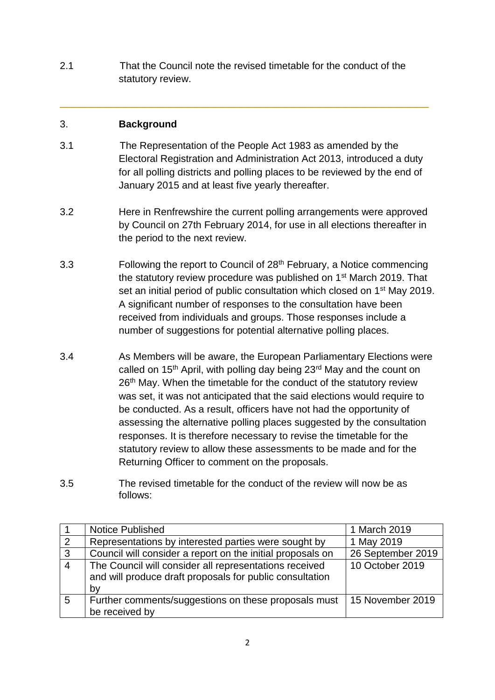2.1 That the Council note the revised timetable for the conduct of the statutory review.

# 3. **Background**

3.1 The Representation of the People Act 1983 as amended by the Electoral Registration and Administration Act 2013, introduced a duty for all polling districts and polling places to be reviewed by the end of January 2015 and at least five yearly thereafter.

\_\_\_\_\_\_\_\_\_\_\_\_\_\_\_\_\_\_\_\_\_\_\_\_\_\_\_\_\_\_\_\_\_\_\_\_\_\_\_\_\_\_\_\_\_\_\_\_\_\_\_\_\_\_\_\_\_

- 3.2 Here in Renfrewshire the current polling arrangements were approved by Council on 27th February 2014, for use in all elections thereafter in the period to the next review.
- 3.3 Following the report to Council of 28<sup>th</sup> February, a Notice commencing the statutory review procedure was published on 1<sup>st</sup> March 2019. That set an initial period of public consultation which closed on 1<sup>st</sup> May 2019. A significant number of responses to the consultation have been received from individuals and groups. Those responses include a number of suggestions for potential alternative polling places.
- 3.4 As Members will be aware, the European Parliamentary Elections were called on 15<sup>th</sup> April, with polling day being 23<sup>rd</sup> May and the count on 26<sup>th</sup> May. When the timetable for the conduct of the statutory review was set, it was not anticipated that the said elections would require to be conducted. As a result, officers have not had the opportunity of assessing the alternative polling places suggested by the consultation responses. It is therefore necessary to revise the timetable for the statutory review to allow these assessments to be made and for the Returning Officer to comment on the proposals.
- 3.5 The revised timetable for the conduct of the review will now be as follows:

|                | <b>Notice Published</b>                                                                                                  | 1 March 2019      |
|----------------|--------------------------------------------------------------------------------------------------------------------------|-------------------|
| 2              | Representations by interested parties were sought by                                                                     | 1 May 2019        |
| 3              | Council will consider a report on the initial proposals on                                                               | 26 September 2019 |
| $\overline{4}$ | The Council will consider all representations received<br>and will produce draft proposals for public consultation<br>bv | 10 October 2019   |
| 5              | Further comments/suggestions on these proposals must<br>be received by                                                   | 15 November 2019  |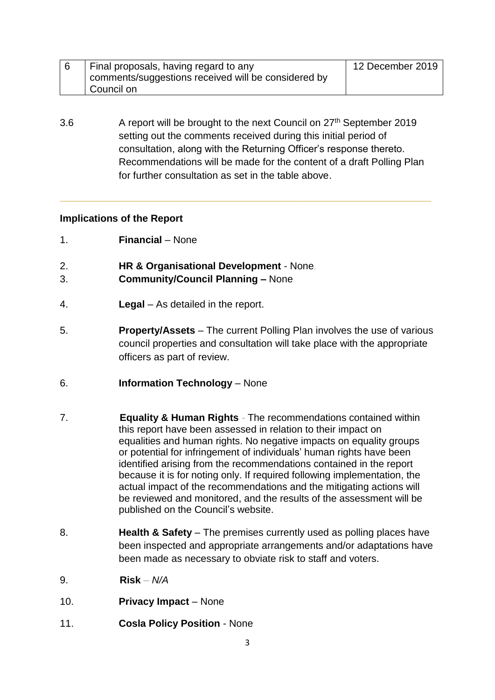| Final proposals, having regard to any               | 12 December 2019 |
|-----------------------------------------------------|------------------|
| comments/suggestions received will be considered by |                  |
| Council on                                          |                  |

3.6 A report will be brought to the next Council on 27<sup>th</sup> September 2019 setting out the comments received during this initial period of consultation, along with the Returning Officer's response thereto. Recommendations will be made for the content of a draft Polling Plan for further consultation as set in the table above.

**\_\_\_\_\_\_\_\_\_\_\_\_\_\_\_\_\_\_\_\_\_\_\_\_\_\_\_\_\_\_\_\_\_\_\_\_\_\_\_\_\_\_\_\_\_\_\_\_\_\_\_\_\_\_\_\_\_\_\_\_\_\_\_\_\_\_\_**

## **Implications of the Report**

- 1. **Financial**  None
- 2. **HR & Organisational Development** None*.*
- 3. **Community/Council Planning –** None
- 4. **Legal** As detailed in the report.
- 5. **Property/Assets** The current Polling Plan involves the use of various council properties and consultation will take place with the appropriate officers as part of review.
- 6. **Information Technology** None
- 7. **Equality & Human Rights** *-* The recommendations contained within this report have been assessed in relation to their impact on equalities and human rights. No negative impacts on equality groups or potential for infringement of individuals' human rights have been identified arising from the recommendations contained in the report because it is for noting only. If required following implementation, the actual impact of the recommendations and the mitigating actions will be reviewed and monitored, and the results of the assessment will be published on the Council's website.
- 8. **Health & Safety**  The premises currently used as polling places have been inspected and appropriate arrangements and/or adaptations have been made as necessary to obviate risk to staff and voters.
- 9. **Risk** *– N/A*
- 10. **Privacy Impact** None
- 11. **Cosla Policy Position** None